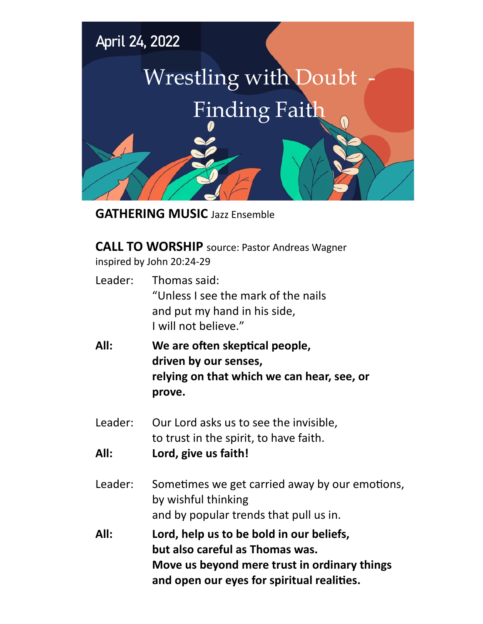

**GATHERING MUSIC** Jazz Ensemble

**CALL TO WORSHIP** source: Pastor Andreas Wagner inspired by John 20:24-29

- Leader: Thomas said: "Unless I see the mark of the nails and put my hand in his side, I will not believe."
- **All: We are often skeptical people, driven by our senses, relying on that which we can hear, see, or prove.**
- Leader: Our Lord asks us to see the invisible, to trust in the spirit, to have faith.
- **All: Lord, give us faith!**
- Leader: Sometimes we get carried away by our emotions, by wishful thinking and by popular trends that pull us in.
- **All: Lord, help us to be bold in our beliefs, but also careful as Thomas was. Move us beyond mere trust in ordinary things and open our eyes for spiritual realities.**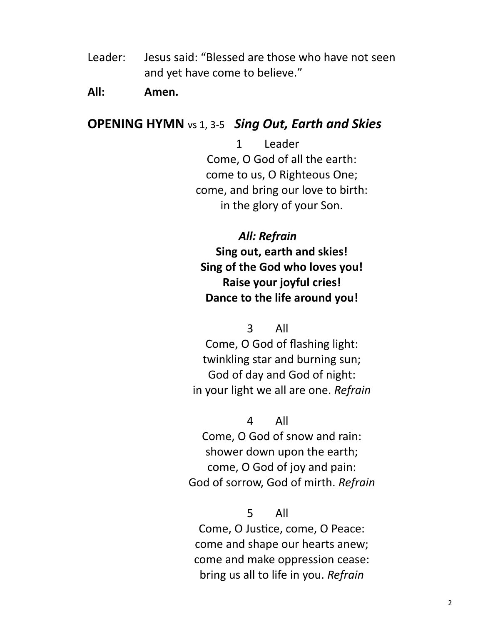Leader: Jesus said: "Blessed are those who have not seen and yet have come to believe."

### **All: Amen.**

## **OPENING HYMN** vs 1, 3-5 *Sing Out, Earth and Skies*

1 Leader Come, O God of all the earth: come to us, O Righteous One; come, and bring our love to birth: in the glory of your Son.

## *All: Refrain*

**Sing out, earth and skies! Sing of the God who loves you! Raise your joyful cries! Dance to the life around you!**

3 All

Come, O God of flashing light: twinkling star and burning sun; God of day and God of night: in your light we all are one. *Refrain*

#### 4 All

Come, O God of snow and rain: shower down upon the earth; come, O God of joy and pain: God of sorrow, God of mirth. *Refrain*

#### 5 All

Come, O Justice, come, O Peace: come and shape our hearts anew; come and make oppression cease: bring us all to life in you. *Refrain*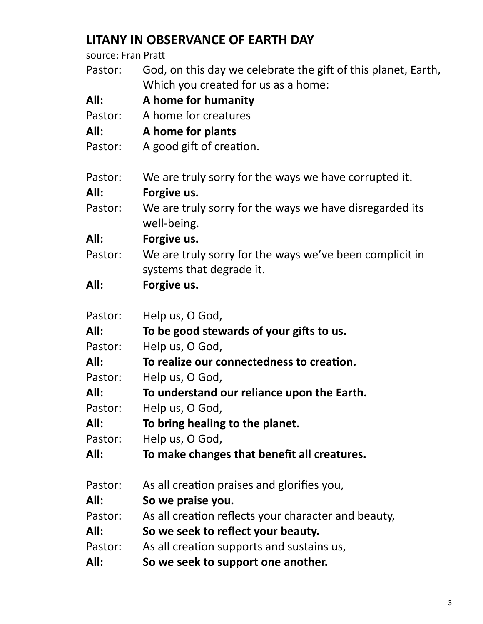# **LITANY IN OBSERVANCE OF EARTH DAY**

source: Fran Pratt

| Pastor: | God, on this day we celebrate the gift of this planet, Earth,<br>Which you created for us as a home: |
|---------|------------------------------------------------------------------------------------------------------|
| All:    | A home for humanity                                                                                  |
| Pastor: | A home for creatures                                                                                 |
| All:    | A home for plants                                                                                    |
| Pastor: | A good gift of creation.                                                                             |
| Pastor: | We are truly sorry for the ways we have corrupted it.                                                |
| All:    | Forgive us.                                                                                          |
| Pastor: | We are truly sorry for the ways we have disregarded its<br>well-being.                               |
| All:    | Forgive us.                                                                                          |
| Pastor: | We are truly sorry for the ways we've been complicit in                                              |
|         | systems that degrade it.                                                                             |
| All:    | Forgive us.                                                                                          |
| Pastor: | Help us, O God,                                                                                      |
| All:    | To be good stewards of your gifts to us.                                                             |
| Pastor: | Help us, O God,                                                                                      |
| All:    | To realize our connectedness to creation.                                                            |
| Pastor: | Help us, O God,                                                                                      |
| All:    | To understand our reliance upon the Earth.                                                           |
| Pastor: | Help us, O God,                                                                                      |
| All:    | To bring healing to the planet.                                                                      |
| Pastor: | Help us, O God,                                                                                      |
| All:    | To make changes that benefit all creatures.                                                          |
| Pastor: | As all creation praises and glorifies you,                                                           |
| All:    | So we praise you.                                                                                    |
| Pastor: | As all creation reflects your character and beauty,                                                  |
| All:    | So we seek to reflect your beauty.                                                                   |
| Pastor: | As all creation supports and sustains us,                                                            |
| All:    | So we seek to support one another.                                                                   |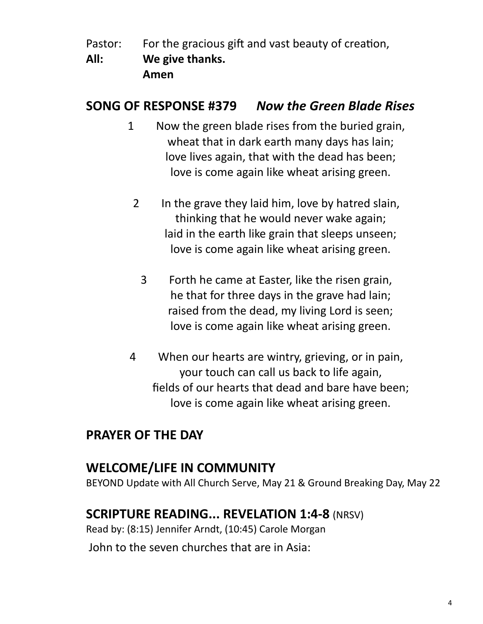- Pastor: For the gracious gift and vast beauty of creation,
- **All: We give thanks. Amen**

# **SONG OF RESPONSE #379** *Now the Green Blade Rises*

- 1 Now the green blade rises from the buried grain, wheat that in dark earth many days has lain; love lives again, that with the dead has been; love is come again like wheat arising green.
	- 2 In the grave they laid him, love by hatred slain, thinking that he would never wake again; laid in the earth like grain that sleeps unseen; love is come again like wheat arising green.
		- 3 Forth he came at Easter, like the risen grain, he that for three days in the grave had lain; raised from the dead, my living Lord is seen; love is come again like wheat arising green.
- 4 When our hearts are wintry, grieving, or in pain, your touch can call us back to life again, fields of our hearts that dead and bare have been; love is come again like wheat arising green.

# **PRAYER OF THE DAY**

# **WELCOME/LIFE IN COMMUNITY**

BEYOND Update with All Church Serve, May 21 & Ground Breaking Day, May 22

# **SCRIPTURE READING... REVELATION 1:4-8** (NRSV)

Read by: (8:15) Jennifer Arndt, (10:45) Carole Morgan John to the seven churches that are in Asia: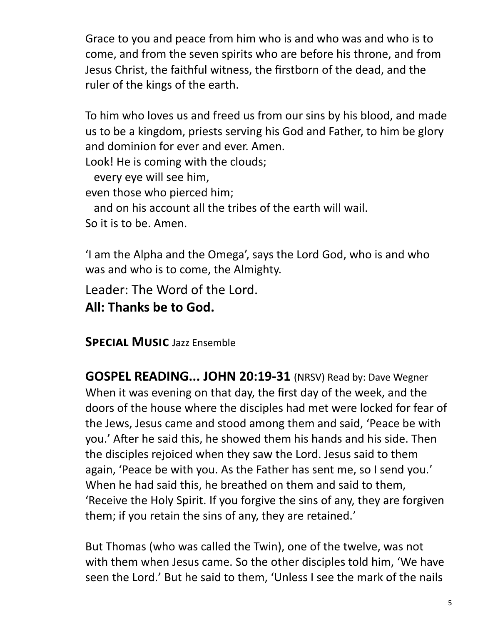Grace to you and peace from him who is and who was and who is to come, and from the seven spirits who are before his throne, and from Jesus Christ, the faithful witness, the firstborn of the dead, and the ruler of the kings of the earth.

To him who loves us and freed us from our sins by his blood, and made us to be a kingdom, priests serving his God and Father, to him be glory and dominion for ever and ever. Amen.

Look! He is coming with the clouds;

every eye will see him,

even those who pierced him;

and on his account all the tribes of the earth will wail.

So it is to be. Amen.

'I am the Alpha and the Omega', says the Lord God, who is and who was and who is to come, the Almighty.

Leader: The Word of the Lord.

**All: Thanks be to God.**

**Special Music** Jazz Ensemble

**GOSPEL READING... JOHN 20:19-31** (NRSV) Read by: Dave Wegner When it was evening on that day, the first day of the week, and the doors of the house where the disciples had met were locked for fear of the Jews, Jesus came and stood among them and said, 'Peace be with you.' After he said this, he showed them his hands and his side. Then the disciples rejoiced when they saw the Lord. Jesus said to them again, 'Peace be with you. As the Father has sent me, so I send you.' When he had said this, he breathed on them and said to them, 'Receive the Holy Spirit. If you forgive the sins of any, they are forgiven them; if you retain the sins of any, they are retained.'

But Thomas (who was called the Twin), one of the twelve, was not with them when Jesus came. So the other disciples told him, 'We have seen the Lord.' But he said to them, 'Unless I see the mark of the nails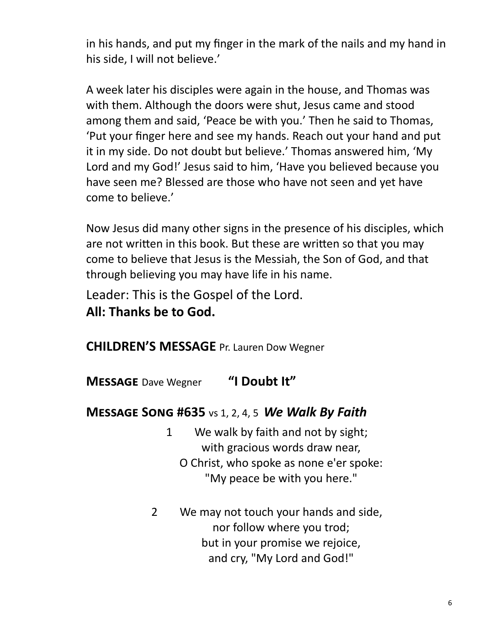in his hands, and put my finger in the mark of the nails and my hand in his side, I will not believe.'

A week later his disciples were again in the house, and Thomas was with them. Although the doors were shut, Jesus came and stood among them and said, 'Peace be with you.' Then he said to Thomas, 'Put your finger here and see my hands. Reach out your hand and put it in my side. Do not doubt but believe.' Thomas answered him, 'My Lord and my God!' Jesus said to him, 'Have you believed because you have seen me? Blessed are those who have not seen and yet have come to believe.'

Now Jesus did many other signs in the presence of his disciples, which are not written in this book. But these are written so that you may come to believe that Jesus is the Messiah, the Son of God, and that through believing you may have life in his name.

Leader: This is the Gospel of the Lord.

**All: Thanks be to God.**

**CHILDREN'S MESSAGE** Pr. Lauren Dow Wegner

**Message** Dave Wegner **"I Doubt It"**

# **Message Song #635** vs 1, 2, 4, 5 *We Walk By Faith*

- 1 We walk by faith and not by sight; with gracious words draw near, O Christ, who spoke as none e'er spoke: "My peace be with you here."
- 2 We may not touch your hands and side, nor follow where you trod; but in your promise we rejoice, and cry, "My Lord and God!"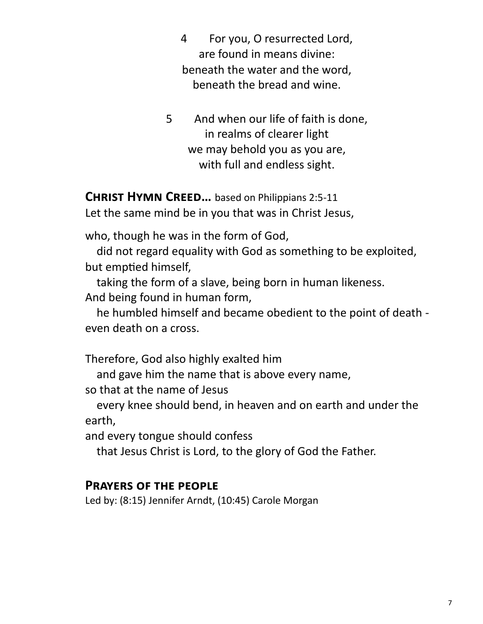4 For you, O resurrected Lord, are found in means divine: beneath the water and the word, beneath the bread and wine.

5 And when our life of faith is done, in realms of clearer light we may behold you as you are, with full and endless sight.

**Christ Hymn Creed…** based on Philippians 2:5-11

Let the same mind be in you that was in Christ Jesus,

who, though he was in the form of God,

 did not regard equality with God as something to be exploited, but emptied himself,

 taking the form of a slave, being born in human likeness. And being found in human form,

 he humbled himself and became obedient to the point of death even death on a cross.

Therefore, God also highly exalted him

and gave him the name that is above every name,

so that at the name of Jesus

 every knee should bend, in heaven and on earth and under the earth,

and every tongue should confess

that Jesus Christ is Lord, to the glory of God the Father.

## **Prayers of the people**

Led by: (8:15) Jennifer Arndt, (10:45) Carole Morgan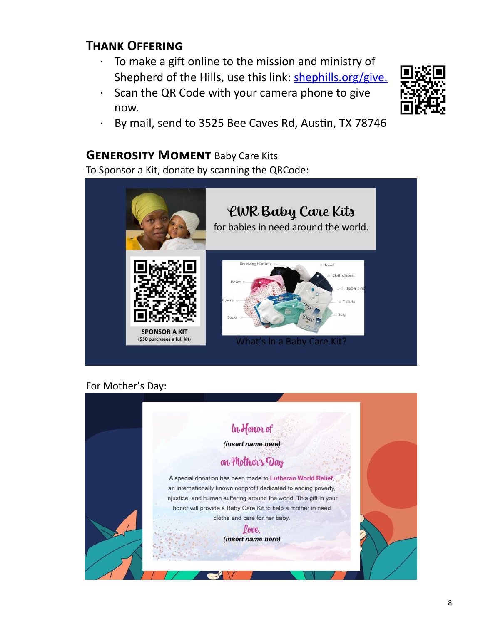# **Thank Offering**

- To make a gift online to the mission and ministry of Shepherd of the Hills, use this link: [shephills.org/give.](https://shephills.org/give/)
- Scan the QR Code with your camera phone to give now.



· By mail, send to 3525 Bee Caves Rd, Austin, TX 78746

#### **GENEROSITY MOMENT Baby Care Kits**

To Sponsor a Kit, donate by scanning the QRCode:



#### For Mother's Day:

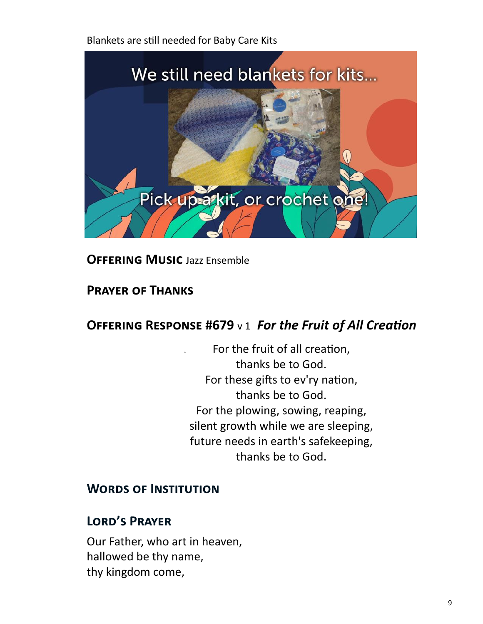Blankets are still needed for Baby Care Kits



**Offering Music** Jazz Ensemble

# **Prayer of Thanks**

# **Offering Response #679** v 1 *For the Fruit of All Creation*

For the fruit of all creation, thanks be to God. For these gifts to ev'ry nation, thanks be to God. For the plowing, sowing, reaping, silent growth while we are sleeping, future needs in earth's safekeeping, thanks be to God.

# **Words of Institution**

# **Lord's Prayer**

Our Father, who art in heaven, hallowed be thy name, thy kingdom come,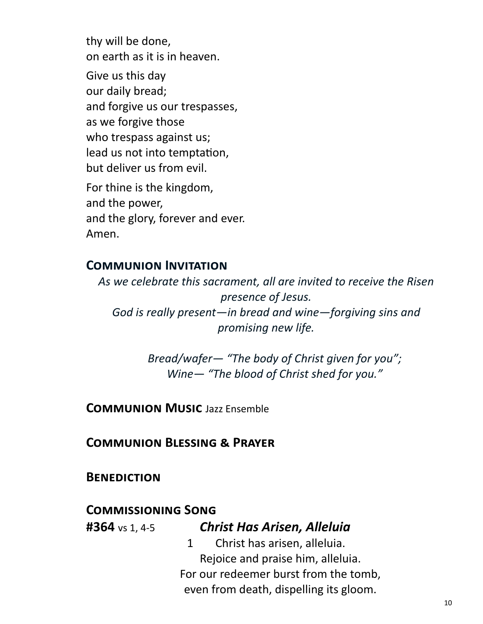thy will be done, on earth as it is in heaven. Give us this day our daily bread; and forgive us our trespasses, as we forgive those who trespass against us; lead us not into temptation, but deliver us from evil. For thine is the kingdom, and the power, and the glory, forever and ever.

# **Communion Invitation**

Amen.

*As we celebrate this sacrament, all are invited to receive the Risen presence of Jesus. God is really present—in bread and wine—forgiving sins and promising new life.* 

> *Bread/wafer— "The body of Christ given for you"; Wine— "The blood of Christ shed for you."*

**Communion Music** Jazz Ensemble

**Communion Blessing & Prayer**

**Benediction**

## **Commissioning Song**

## **#364** vs 1, 4-5 *Christ Has Arisen, Alleluia*

1 Christ has arisen, alleluia. Rejoice and praise him, alleluia. For our redeemer burst from the tomb, even from death, dispelling its gloom.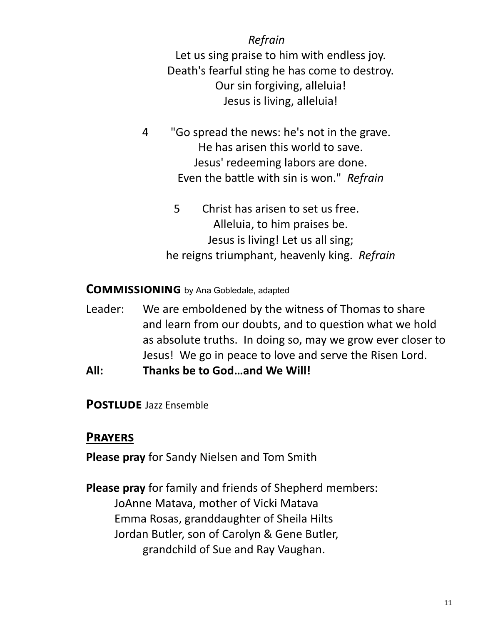*Refrain* Let us sing praise to him with endless joy. Death's fearful sting he has come to destroy. Our sin forgiving, alleluia! Jesus is living, alleluia!

- 4 "Go spread the news: he's not in the grave. He has arisen this world to save. Jesus' redeeming labors are done. Even the battle with sin is won." *Refrain*
	- 5 Christ has arisen to set us free. Alleluia, to him praises be. Jesus is living! Let us all sing; he reigns triumphant, heavenly king. *Refrain*

## **Commissioning** by Ana Gobledale, adapted

- Leader: We are emboldened by the witness of Thomas to share and learn from our doubts, and to question what we hold as absolute truths. In doing so, may we grow ever closer to Jesus! We go in peace to love and serve the Risen Lord.
- **All: Thanks be to God…and We Will!**

## **Postlude** Jazz Ensemble

## **Prayers**

**Please pray** for Sandy Nielsen and Tom Smith

**Please pray** for family and friends of Shepherd members: JoAnne Matava, mother of Vicki Matava Emma Rosas, granddaughter of Sheila Hilts Jordan Butler, son of Carolyn & Gene Butler, grandchild of Sue and Ray Vaughan.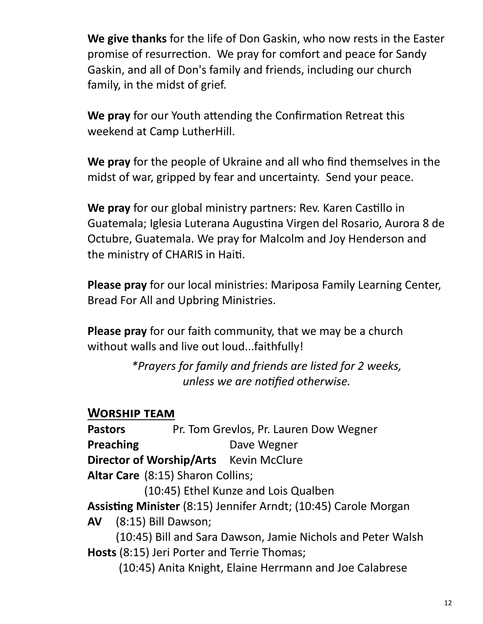**We give thanks** for the life of Don Gaskin, who now rests in the Easter promise of resurrection. We pray for comfort and peace for Sandy Gaskin, and all of Don's family and friends, including our church family, in the midst of grief.

**We pray** for our Youth attending the Confirmation Retreat this weekend at Camp LutherHill.

**We pray** for the people of Ukraine and all who find themselves in the midst of war, gripped by fear and uncertainty. Send your peace.

**We pray** for our global ministry partners: Rev. Karen Castillo in Guatemala; Iglesia Luterana Augustina Virgen del Rosario, Aurora 8 de Octubre, Guatemala. We pray for Malcolm and Joy Henderson and the ministry of CHARIS in Haiti.

**Please pray** for our local ministries: Mariposa Family Learning Center, Bread For All and Upbring Ministries.

**Please pray** for our faith community, that we may be a church without walls and live out loud...faithfully!

> *\*Prayers for family and friends are listed for 2 weeks, unless we are notified otherwise.*

## **Worship team**

Pastors Pr. Tom Grevlos, Pr. Lauren Dow Wegner **Preaching Case Dave Wegner Director of Worship/Arts** Kevin McClure **Altar Care** (8:15) Sharon Collins;

(10:45) Ethel Kunze and Lois Qualben

**Assisting Minister** (8:15) Jennifer Arndt; (10:45) Carole Morgan

**AV** (8:15) Bill Dawson;

(10:45) Bill and Sara Dawson, Jamie Nichols and Peter Walsh **Hosts** (8:15) Jeri Porter and Terrie Thomas;

(10:45) Anita Knight, Elaine Herrmann and Joe Calabrese